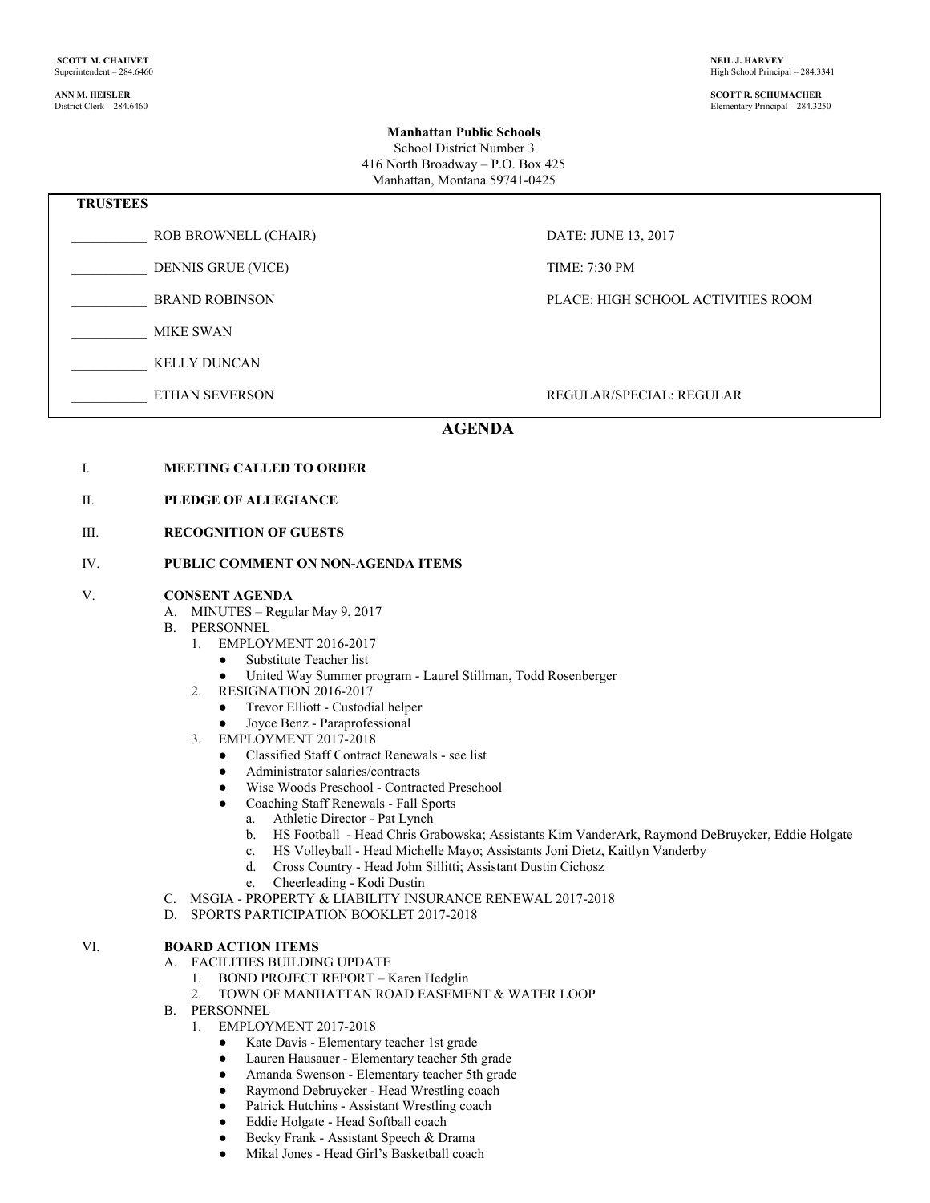**ANN M. HEISLER SCOTT R. SCHUMACHER** Elementary Principal – 284.3250

### **Manhattan Public Schools**

School District Number 3 416 North Broadway – P.O. Box 425 Manhattan, Montana 59741-0425

| <b>TRUSTEES</b> |                           |                                    |  |
|-----------------|---------------------------|------------------------------------|--|
|                 | ROB BROWNELL (CHAIR)      | DATE: JUNE 13, 2017                |  |
|                 | <b>DENNIS GRUE (VICE)</b> | <b>TIME: 7:30 PM</b>               |  |
|                 | <b>BRAND ROBINSON</b>     | PLACE: HIGH SCHOOL ACTIVITIES ROOM |  |
|                 | <b>MIKE SWAN</b>          |                                    |  |
|                 | <b>KELLY DUNCAN</b>       |                                    |  |
|                 | <b>ETHAN SEVERSON</b>     | REGULAR/SPECIAL: REGULAR           |  |
|                 |                           |                                    |  |

## **AGENDA**

- I. **MEETING CALLED TO ORDER**
- II. **PLEDGE OF ALLEGIANCE**
- III. **RECOGNITION OF GUESTS**

#### IV. **PUBLIC COMMENT ON NON-AGENDA ITEMS**

#### V. **CONSENT AGENDA**

- A. MINUTES Regular May 9, 2017
- B. PERSONNEL
	- 1. EMPLOYMENT 2016-2017
		- Substitute Teacher list
		- United Way Summer program Laurel Stillman, Todd Rosenberger
	- 2. RESIGNATION 2016-2017
		- Trevor Elliott Custodial helper
		- Joyce Benz Paraprofessional
	- 3. EMPLOYMENT 2017-2018
		- Classified Staff Contract Renewals see list
		- Administrator salaries/contracts
		- Wise Woods Preschool Contracted Preschool
		- Coaching Staff Renewals Fall Sports
			- a. Athletic Director Pat Lynch
			- b. HS Football Head Chris Grabowska; Assistants Kim VanderArk, Raymond DeBruycker, Eddie Holgate
			- c. HS Volleyball Head Michelle Mayo; Assistants Joni Dietz, Kaitlyn Vanderby
			- d. Cross Country Head John Sillitti; Assistant Dustin Cichosz
			- e. Cheerleading Kodi Dustin
- C. MSGIA PROPERTY & LIABILITY INSURANCE RENEWAL 2017-2018
- D. SPORTS PARTICIPATION BOOKLET 2017-2018

#### VI. **BOARD ACTION ITEMS**

- A. FACILITIES BUILDING UPDATE
	- 1. BOND PROJECT REPORT Karen Hedglin
	- 2. TOWN OF MANHATTAN ROAD EASEMENT & WATER LOOP
- B. PERSONNEL
	- 1. EMPLOYMENT 2017-2018
		- Kate Davis Elementary teacher 1st grade
		- Lauren Hausauer Elementary teacher 5th grade
		- Amanda Swenson Elementary teacher 5th grade
		- Raymond Debruycker Head Wrestling coach
		- Patrick Hutchins Assistant Wrestling coach
		- Eddie Holgate Head Softball coach
		- Becky Frank Assistant Speech & Drama
		- Mikal Jones Head Girl's Basketball coach